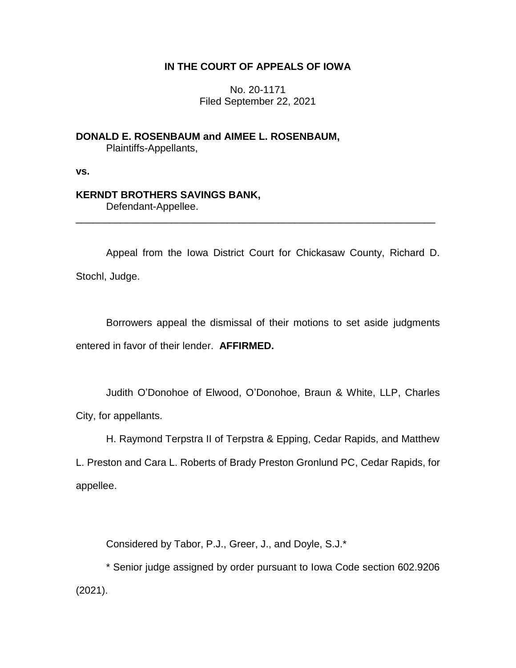## **IN THE COURT OF APPEALS OF IOWA**

No. 20-1171 Filed September 22, 2021

**DONALD E. ROSENBAUM and AIMEE L. ROSENBAUM,** Plaintiffs-Appellants,

**vs.**

## **KERNDT BROTHERS SAVINGS BANK,**

Defendant-Appellee.

Appeal from the Iowa District Court for Chickasaw County, Richard D. Stochl, Judge.

\_\_\_\_\_\_\_\_\_\_\_\_\_\_\_\_\_\_\_\_\_\_\_\_\_\_\_\_\_\_\_\_\_\_\_\_\_\_\_\_\_\_\_\_\_\_\_\_\_\_\_\_\_\_\_\_\_\_\_\_\_\_\_\_

Borrowers appeal the dismissal of their motions to set aside judgments entered in favor of their lender. **AFFIRMED.**

Judith O'Donohoe of Elwood, O'Donohoe, Braun & White, LLP, Charles City, for appellants.

H. Raymond Terpstra II of Terpstra & Epping, Cedar Rapids, and Matthew

L. Preston and Cara L. Roberts of Brady Preston Gronlund PC, Cedar Rapids, for appellee.

Considered by Tabor, P.J., Greer, J., and Doyle, S.J.\*

\* Senior judge assigned by order pursuant to Iowa Code section 602.9206 (2021).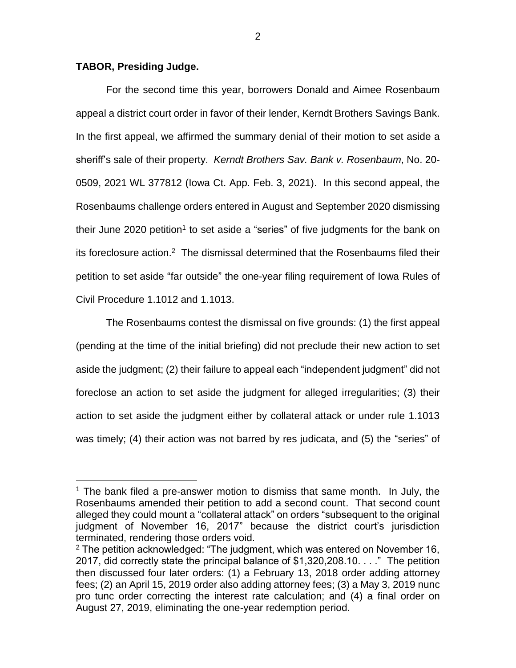## **TABOR, Presiding Judge.**

 $\overline{a}$ 

For the second time this year, borrowers Donald and Aimee Rosenbaum appeal a district court order in favor of their lender, Kerndt Brothers Savings Bank. In the first appeal, we affirmed the summary denial of their motion to set aside a sheriff's sale of their property. *Kerndt Brothers Sav. Bank v. Rosenbaum*, No. 20- 0509, 2021 WL 377812 (Iowa Ct. App. Feb. 3, 2021). In this second appeal, the Rosenbaums challenge orders entered in August and September 2020 dismissing their June 2020 petition<sup>1</sup> to set aside a "series" of five judgments for the bank on its foreclosure action.<sup>2</sup> The dismissal determined that the Rosenbaums filed their petition to set aside "far outside" the one-year filing requirement of Iowa Rules of Civil Procedure 1.1012 and 1.1013.

The Rosenbaums contest the dismissal on five grounds: (1) the first appeal (pending at the time of the initial briefing) did not preclude their new action to set aside the judgment; (2) their failure to appeal each "independent judgment" did not foreclose an action to set aside the judgment for alleged irregularities; (3) their action to set aside the judgment either by collateral attack or under rule 1.1013 was timely; (4) their action was not barred by res judicata, and (5) the "series" of

 $1$  The bank filed a pre-answer motion to dismiss that same month. In July, the Rosenbaums amended their petition to add a second count. That second count alleged they could mount a "collateral attack" on orders "subsequent to the original judgment of November 16, 2017" because the district court's jurisdiction terminated, rendering those orders void.

 $2$  The petition acknowledged: "The judgment, which was entered on November 16, 2017, did correctly state the principal balance of \$1,320,208.10. . . ." The petition then discussed four later orders: (1) a February 13, 2018 order adding attorney fees; (2) an April 15, 2019 order also adding attorney fees; (3) a May 3, 2019 nunc pro tunc order correcting the interest rate calculation; and (4) a final order on August 27, 2019, eliminating the one-year redemption period.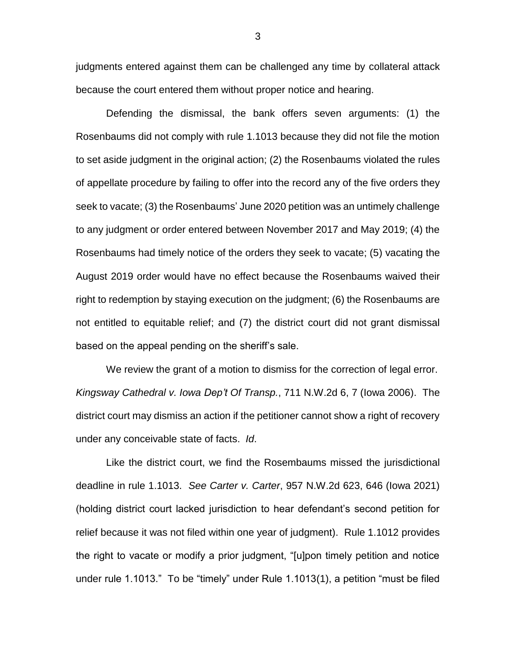judgments entered against them can be challenged any time by collateral attack because the court entered them without proper notice and hearing.

Defending the dismissal, the bank offers seven arguments: (1) the Rosenbaums did not comply with rule 1.1013 because they did not file the motion to set aside judgment in the original action; (2) the Rosenbaums violated the rules of appellate procedure by failing to offer into the record any of the five orders they seek to vacate; (3) the Rosenbaums' June 2020 petition was an untimely challenge to any judgment or order entered between November 2017 and May 2019; (4) the Rosenbaums had timely notice of the orders they seek to vacate; (5) vacating the August 2019 order would have no effect because the Rosenbaums waived their right to redemption by staying execution on the judgment; (6) the Rosenbaums are not entitled to equitable relief; and (7) the district court did not grant dismissal based on the appeal pending on the sheriff's sale.

We review the grant of a motion to dismiss for the correction of legal error. *Kingsway Cathedral v. Iowa Dep't Of Transp.*, 711 N.W.2d 6, 7 (Iowa 2006). The district court may dismiss an action if the petitioner cannot show a right of recovery under any conceivable state of facts. *Id*.

Like the district court, we find the Rosembaums missed the jurisdictional deadline in rule 1.1013. *See Carter v. Carter*, 957 N.W.2d 623, 646 (Iowa 2021) (holding district court lacked jurisdiction to hear defendant's second petition for relief because it was not filed within one year of judgment). Rule 1.1012 provides the right to vacate or modify a prior judgment, "[u]pon timely petition and notice under rule 1.1013." To be "timely" under Rule 1.1013(1), a petition "must be filed

3